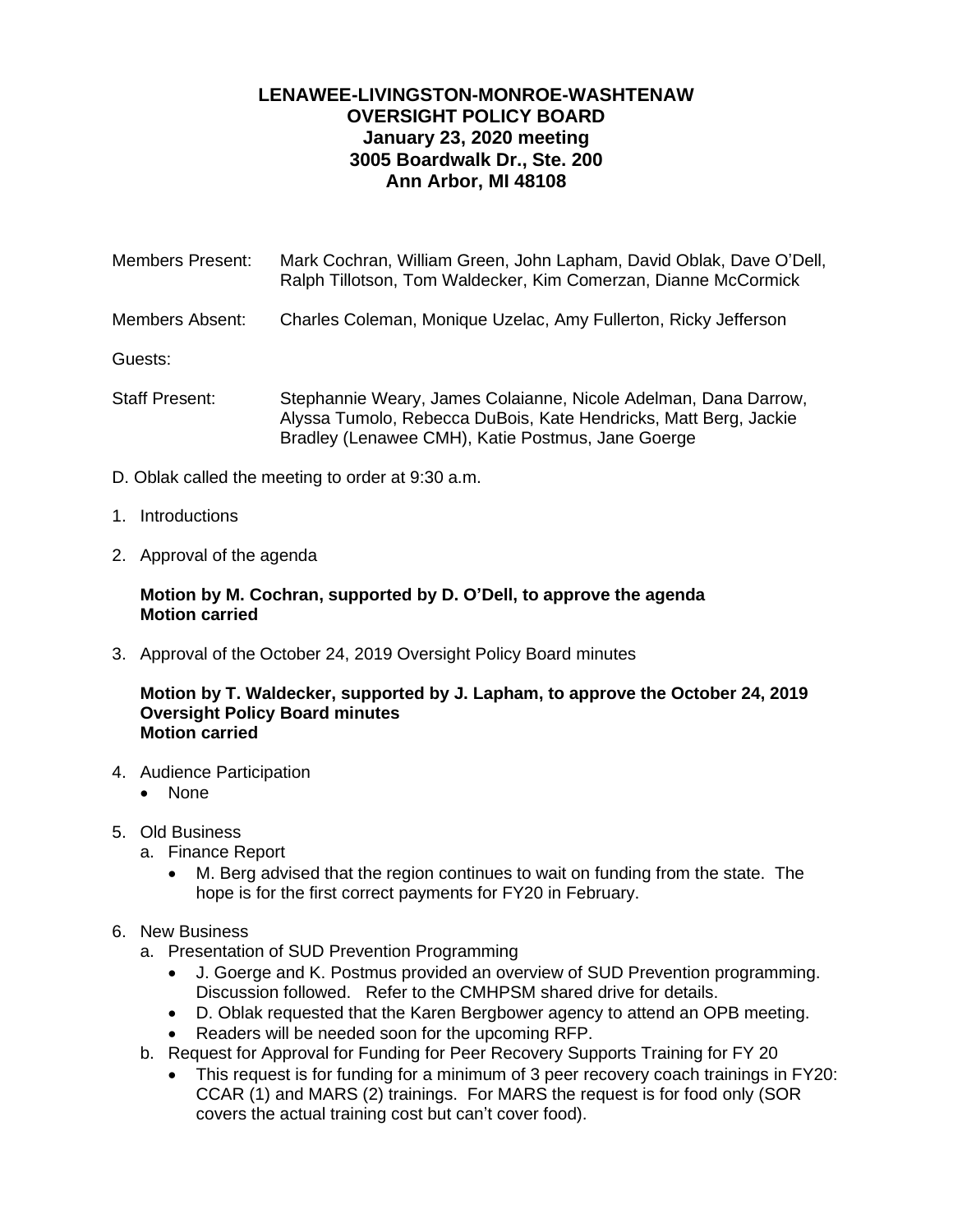# **LENAWEE-LIVINGSTON-MONROE-WASHTENAW OVERSIGHT POLICY BOARD January 23, 2020 meeting 3005 Boardwalk Dr., Ste. 200 Ann Arbor, MI 48108**

Members Present: Mark Cochran, William Green, John Lapham, David Oblak, Dave O'Dell, Ralph Tillotson, Tom Waldecker, Kim Comerzan, Dianne McCormick Members Absent: Charles Coleman, Monique Uzelac, Amy Fullerton, Ricky Jefferson Guests: Staff Present: Stephannie Weary, James Colaianne, Nicole Adelman, Dana Darrow, Alyssa Tumolo, Rebecca DuBois, Kate Hendricks, Matt Berg, Jackie

Bradley (Lenawee CMH), Katie Postmus, Jane Goerge

- D. Oblak called the meeting to order at 9:30 a.m.
- 1. Introductions
- 2. Approval of the agenda

### **Motion by M. Cochran, supported by D. O'Dell, to approve the agenda Motion carried**

3. Approval of the October 24, 2019 Oversight Policy Board minutes

#### **Motion by T. Waldecker, supported by J. Lapham, to approve the October 24, 2019 Oversight Policy Board minutes Motion carried**

- 4. Audience Participation
	- None
- 5. Old Business
	- a. Finance Report
		- M. Berg advised that the region continues to wait on funding from the state. The hope is for the first correct payments for FY20 in February.
- 6. New Business
	- a. Presentation of SUD Prevention Programming
		- J. Goerge and K. Postmus provided an overview of SUD Prevention programming. Discussion followed. Refer to the CMHPSM shared drive for details.
		- D. Oblak requested that the Karen Bergbower agency to attend an OPB meeting.
		- Readers will be needed soon for the upcoming RFP.
	- b. Request for Approval for Funding for Peer Recovery Supports Training for FY 20
		- This request is for funding for a minimum of 3 peer recovery coach trainings in FY20: CCAR (1) and MARS (2) trainings. For MARS the request is for food only (SOR covers the actual training cost but can't cover food).